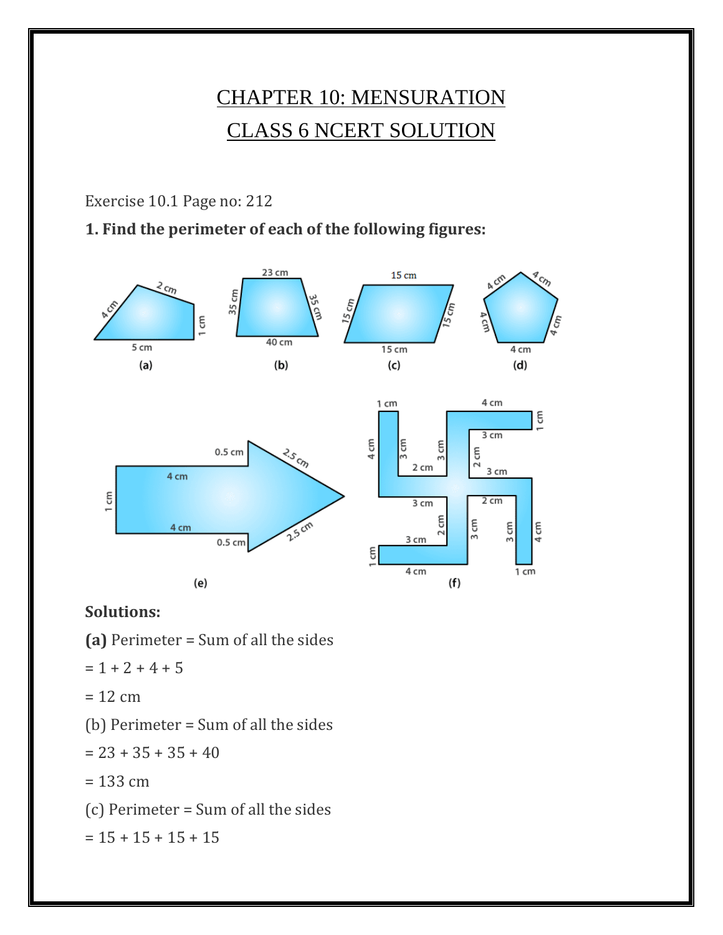# CHAPTER 10: MENSURATION CLASS 6 NCERT SOLUTION

Exercise 10.1 Page no: 212

#### **1. Find the perimeter of each of the following figures:**



#### **Solutions:**

- **(a)** Perimeter = Sum of all the sides
- $= 1 + 2 + 4 + 5$
- $= 12$  cm
- (b) Perimeter = Sum of all the sides
- $= 23 + 35 + 35 + 40$
- $= 133$  cm
- (c) Perimeter = Sum of all the sides

 $= 15 + 15 + 15 + 15$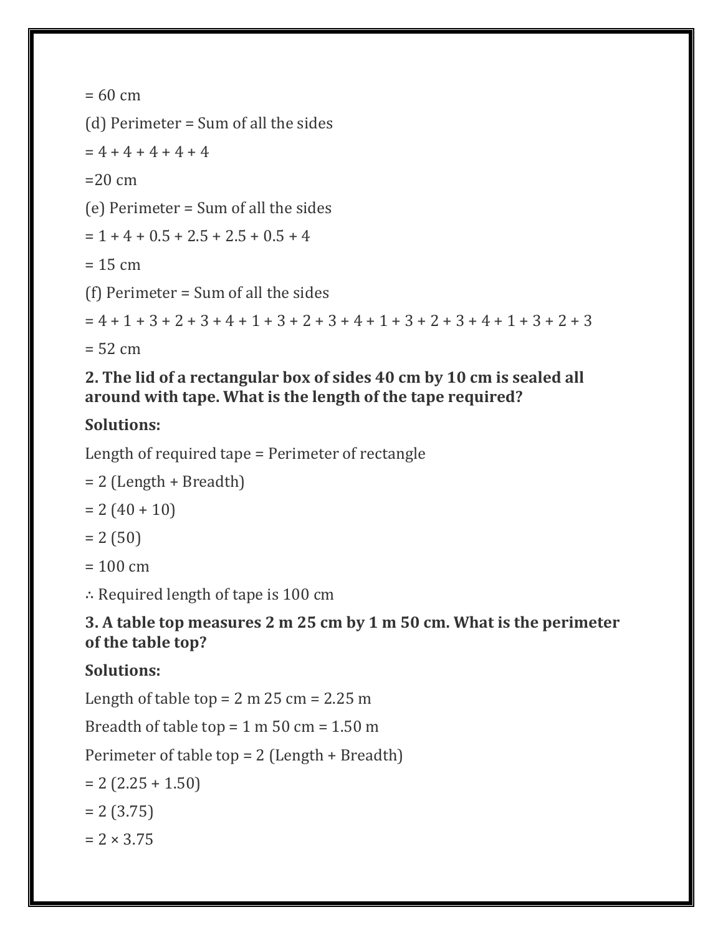```
= 60 cm
(d) Perimeter = Sum of all the sides
= 4 + 4 + 4 + 4 + 4=20 cm
(e) Perimeter = Sum of all the sides
= 1 + 4 + 0.5 + 2.5 + 2.5 + 0.5 + 4= 15 cm
(f) Perimeter = Sum of all the sides
= 4 + 1 + 3 + 2 + 3 + 4 + 1 + 3 + 2 + 3 + 4 + 1 + 3 + 2 + 3 + 4 + 1 + 3 + 2 + 3= 52 cm
```
#### **2. The lid of a rectangular box of sides 40 cm by 10 cm is sealed all around with tape. What is the length of the tape required?**

## **Solutions:**

Length of required tape = Perimeter of rectangle

```
= 2 (Length + Breadth)
```

```
= 2(40 + 10)
```

```
= 2 (50)
```
 $= 100 \text{ cm}$ 

∴ Required length of tape is 100 cm

### **3. A table top measures 2 m 25 cm by 1 m 50 cm. What is the perimeter of the table top?**

# **Solutions:**

Length of table top  $= 2$  m  $25$  cm  $= 2.25$  m

Breadth of table top  $= 1$  m  $50$  cm  $= 1.50$  m

Perimeter of table top = 2 (Length + Breadth)

 $= 2$  (2.25 + 1.50)

 $= 2 (3.75)$ 

 $= 2 \times 3.75$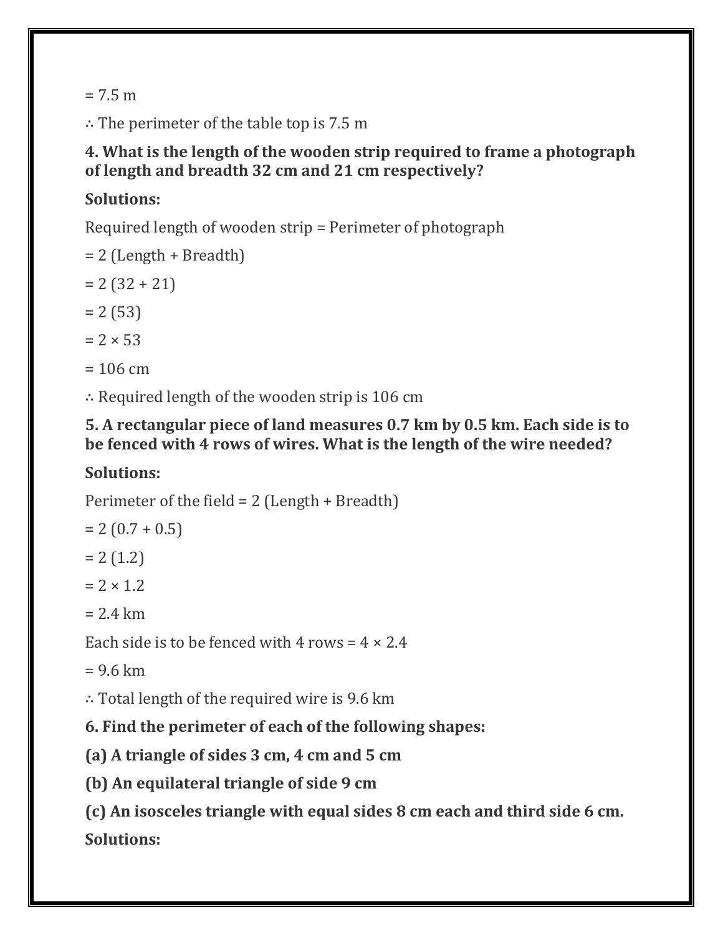$= 7.5 m$ 

∴ The perimeter of the table top is 7.5 m

#### **4. What is the length of the wooden strip required to frame a photograph of length and breadth 32 cm and 21 cm respectively?**

### **Solutions:**

Required length of wooden strip = Perimeter of photograph

- $= 2$  (Length + Breadth)
- $= 2 (32 + 21)$
- $= 2 (53)$
- $= 2 \times 53$
- $= 106$  cm

∴ Required length of the wooden strip is 106 cm

#### **5. A rectangular piece of land measures 0.7 km by 0.5 km. Each side is to be fenced with 4 rows of wires. What is the length of the wire needed?**

# **Solutions:**

Perimeter of the field = 2 (Length + Breadth)

 $= 2 (0.7 + 0.5)$ 

 $= 2 (1.2)$ 

 $= 2 \times 1.2$ 

 $= 2.4$  km

Each side is to be fenced with 4 rows =  $4 \times 2.4$ 

 $= 9.6$  km

∴ Total length of the required wire is 9.6 km

**6. Find the perimeter of each of the following shapes:**

**(a) A triangle of sides 3 cm, 4 cm and 5 cm**

**(b) An equilateral triangle of side 9 cm**

**(c) An isosceles triangle with equal sides 8 cm each and third side 6 cm. Solutions:**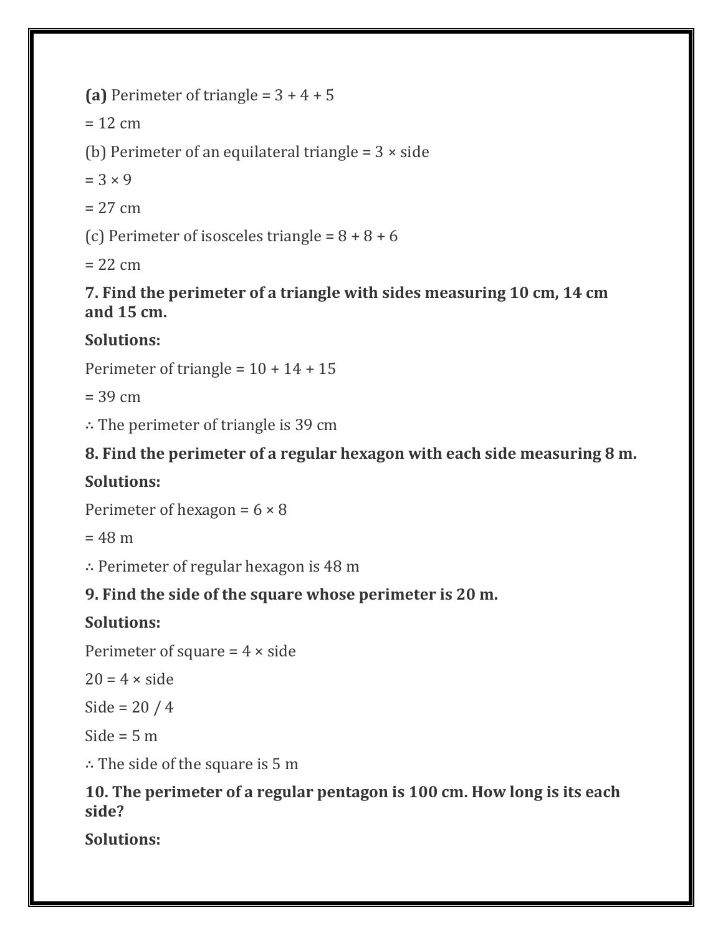(a) Perimeter of triangle =  $3 + 4 + 5$ 

 $= 12$  cm

(b) Perimeter of an equilateral triangle =  $3 \times$  side

 $= 3 \times 9$ 

 $= 27$  cm

(c) Perimeter of isosceles triangle =  $8 + 8 + 6$ 

 $= 22$  cm

**7. Find the perimeter of a triangle with sides measuring 10 cm, 14 cm and 15 cm.**

# **Solutions:**

Perimeter of triangle =  $10 + 14 + 15$ 

 $= 39$  cm

∴ The perimeter of triangle is 39 cm

# **8. Find the perimeter of a regular hexagon with each side measuring 8 m.**

# **Solutions:**

Perimeter of hexagon =  $6 \times 8$ 

 $= 48 m$ 

∴ Perimeter of regular hexagon is 48 m

# **9. Find the side of the square whose perimeter is 20 m.**

# **Solutions:**

Perimeter of square  $= 4 \times side$ 

 $20 = 4 \times side$ 

Side =  $20/4$ 

Side =  $5<sub>m</sub>$ 

∴ The side of the square is 5 m

### **10. The perimeter of a regular pentagon is 100 cm. How long is its each side?**

**Solutions:**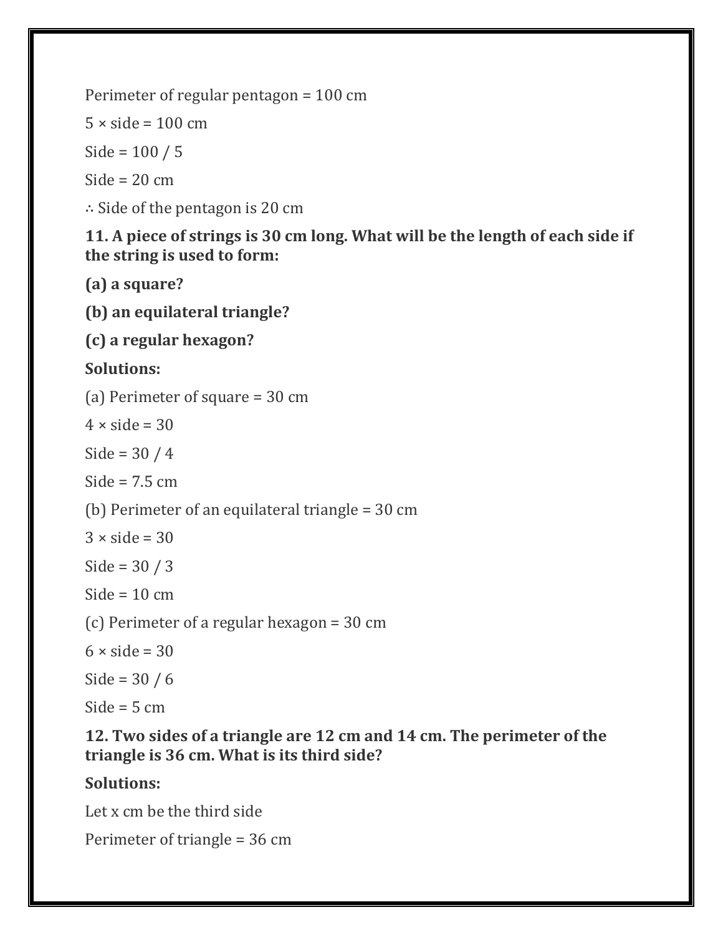Perimeter of regular pentagon = 100 cm

 $5 \times$  side = 100 cm

Side = 100 / 5

Side  $= 20$  cm

∴ Side of the pentagon is 20 cm

#### **11. A piece of strings is 30 cm long. What will be the length of each side if the string is used to form:**

**(a) a square?**

**(b) an equilateral triangle?**

**(c) a regular hexagon?**

## **Solutions:**

(a) Perimeter of square = 30 cm

 $4 \times side = 30$ 

Side =  $30/4$ 

Side =  $7.5$  cm

(b) Perimeter of an equilateral triangle = 30 cm

 $3 \times side = 30$ 

Side = 30 / 3

Side =  $10 \text{ cm}$ 

(c) Perimeter of a regular hexagon = 30 cm

 $6 \times side = 30$ 

Side =  $30 / 6$ 

Side  $=$  5 cm

### **12. Two sides of a triangle are 12 cm and 14 cm. The perimeter of the triangle is 36 cm. What is its third side?**

## **Solutions:**

Let x cm be the third side

Perimeter of triangle = 36 cm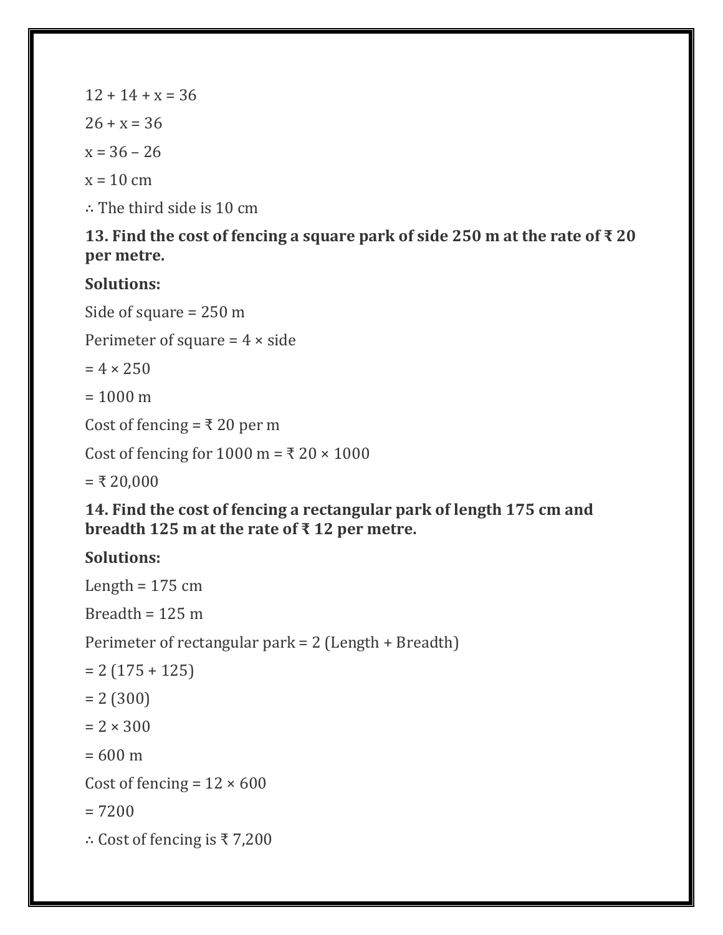$12 + 14 + x = 36$  $26 + x = 36$  $x = 36 - 26$  $x = 10$  cm

∴ The third side is 10 cm

## **13. Find the cost of fencing a square park of side 250 m at the rate of ₹ 20 per metre.**

# **Solutions:**

Side of square = 250 m

Perimeter of square  $= 4 \times side$ 

 $= 4 \times 250$ 

 $= 1000 \text{ m}$ 

Cost of fencing = ₹20 per m

Cost of fencing for  $1000 \text{ m} = \text{\textless} 20 \times 1000$ 

 $= ₹ 20,000$ 

### **14. Find the cost of fencing a rectangular park of length 175 cm and breadth 125 m at the rate of ₹ 12 per metre.**

# **Solutions:**

Length  $= 175$  cm Breadth =  $125 \text{ m}$ Perimeter of rectangular park = 2 (Length + Breadth)  $= 2(175 + 125)$  $= 2 (300)$  $= 2 \times 300$  $= 600 \text{ m}$ Cost of fencing =  $12 \times 600$ = 7200 ∴ Cost of fencing is ₹ 7,200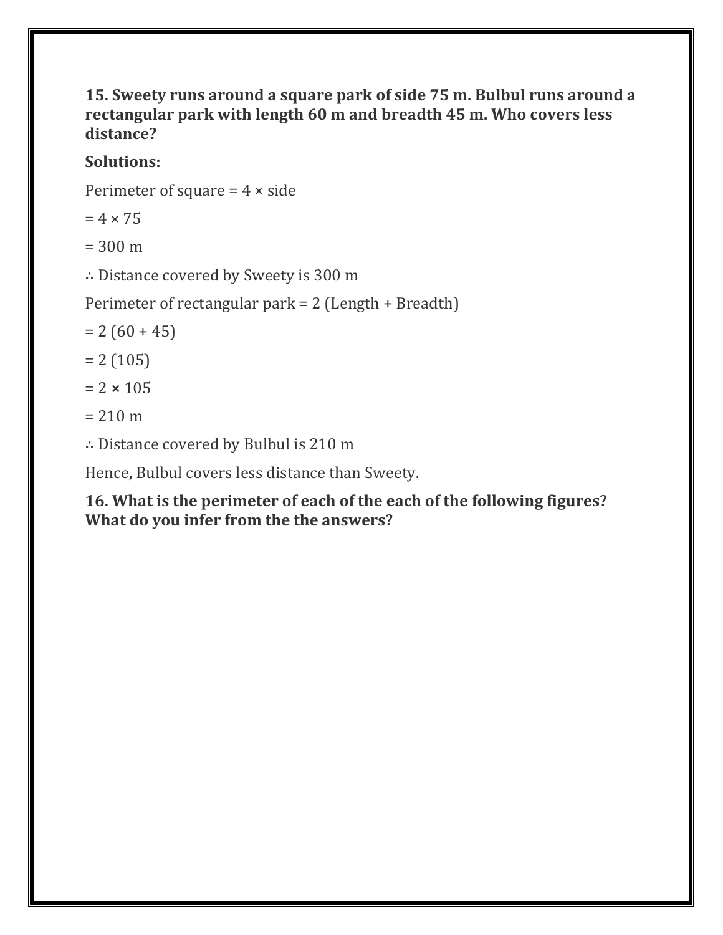#### **15. Sweety runs around a square park of side 75 m. Bulbul runs around a rectangular park with length 60 m and breadth 45 m. Who covers less distance?**

## **Solutions:**

Perimeter of square  $= 4 \times side$ 

 $= 4 \times 75$ 

 $= 300 \text{ m}$ 

∴ Distance covered by Sweety is 300 m

Perimeter of rectangular park = 2 (Length + Breadth)

- $= 2 (60 + 45)$
- $= 2 (105)$
- $= 2 \times 105$
- $= 210 m$
- ∴ Distance covered by Bulbul is 210 m

Hence, Bulbul covers less distance than Sweety.

**16. What is the perimeter of each of the each of the following figures? What do you infer from the the answers?**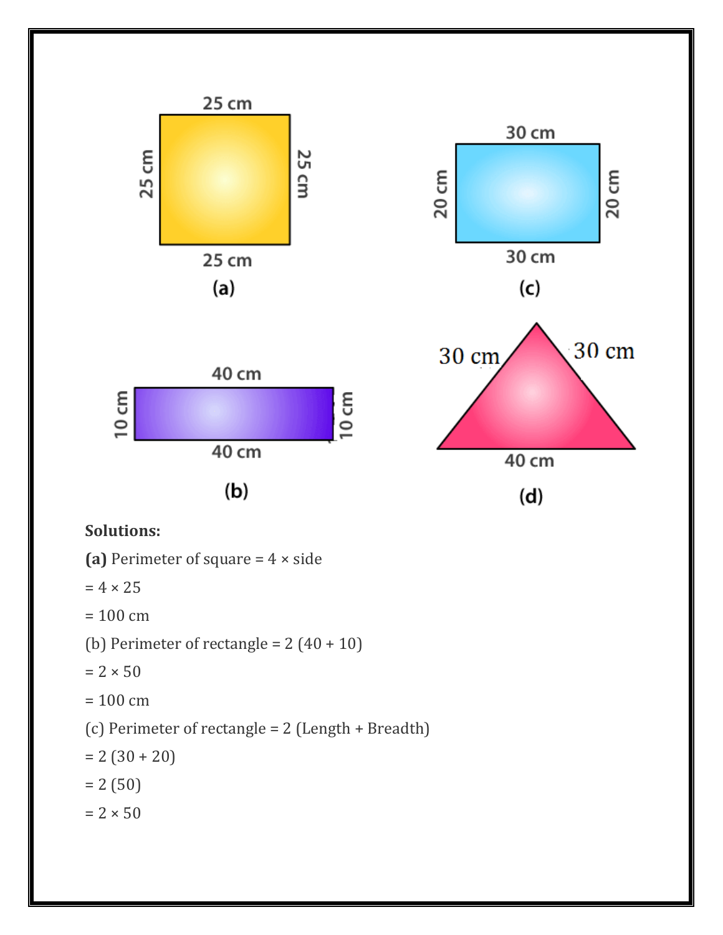

#### **Solutions:**

(a) Perimeter of square  $= 4 \times side$ 

 $= 4 \times 25$ 

 $= 100$  cm

(b) Perimeter of rectangle =  $2(40 + 10)$ 

 $= 2 \times 50$ 

 $= 100$  cm

(c) Perimeter of rectangle = 2 (Length + Breadth)

 $= 2 (30 + 20)$ 

 $= 2 (50)$ 

 $= 2 \times 50$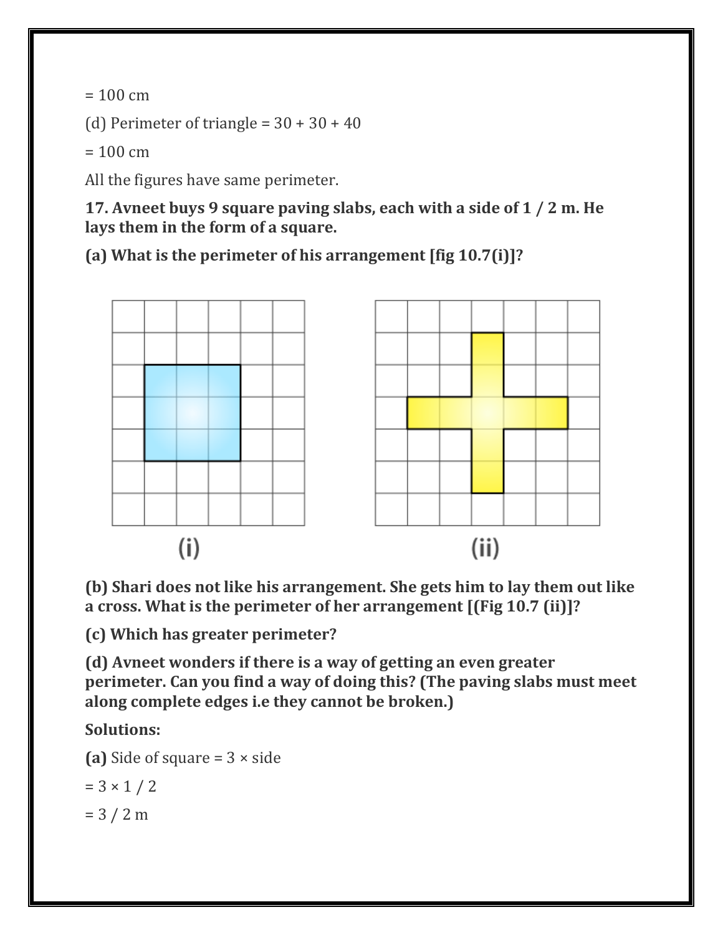$= 100 \text{ cm}$ 

(d) Perimeter of triangle =  $30 + 30 + 40$ 

 $= 100$  cm

All the figures have same perimeter.

**17. Avneet buys 9 square paving slabs, each with a side of 1 / 2 m. He lays them in the form of a square.**

**(a) What is the perimeter of his arrangement [fig 10.7(i)]?**



**(b) Shari does not like his arrangement. She gets him to lay them out like a cross. What is the perimeter of her arrangement [(Fig 10.7 (ii)]?**

**(c) Which has greater perimeter?**

**(d) Avneet wonders if there is a way of getting an even greater perimeter. Can you find a way of doing this? (The paving slabs must meet along complete edges i.e they cannot be broken.)**

**Solutions:**

**(a)** Side of square = 3 × side

$$
= 3 \times 1 / 2
$$

 $= 3 / 2 m$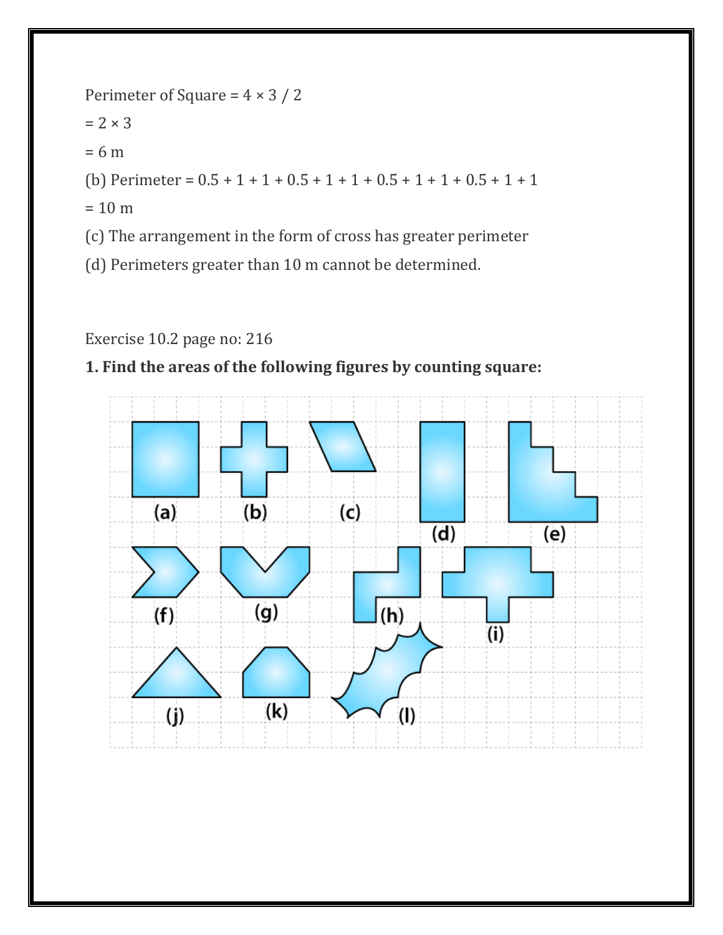

#### Exercise 10.2 page no: 216

#### **1. Find the areas of the following figures by counting square:**

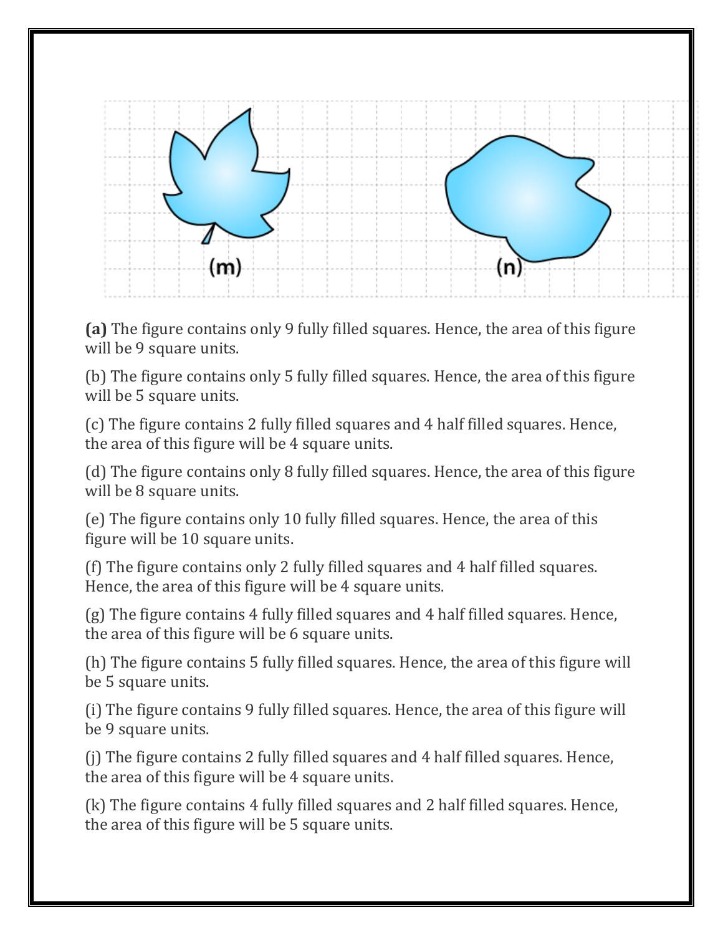

**(a)** The figure contains only 9 fully filled squares. Hence, the area of this figure will be 9 square units.

(b) The figure contains only 5 fully filled squares. Hence, the area of this figure will be 5 square units.

(c) The figure contains 2 fully filled squares and 4 half filled squares. Hence, the area of this figure will be 4 square units.

(d) The figure contains only 8 fully filled squares. Hence, the area of this figure will be 8 square units.

(e) The figure contains only 10 fully filled squares. Hence, the area of this figure will be 10 square units.

(f) The figure contains only 2 fully filled squares and 4 half filled squares. Hence, the area of this figure will be 4 square units.

(g) The figure contains 4 fully filled squares and 4 half filled squares. Hence, the area of this figure will be 6 square units.

(h) The figure contains 5 fully filled squares. Hence, the area of this figure will be 5 square units.

(i) The figure contains 9 fully filled squares. Hence, the area of this figure will be 9 square units.

(j) The figure contains 2 fully filled squares and 4 half filled squares. Hence, the area of this figure will be 4 square units.

(k) The figure contains 4 fully filled squares and 2 half filled squares. Hence, the area of this figure will be 5 square units.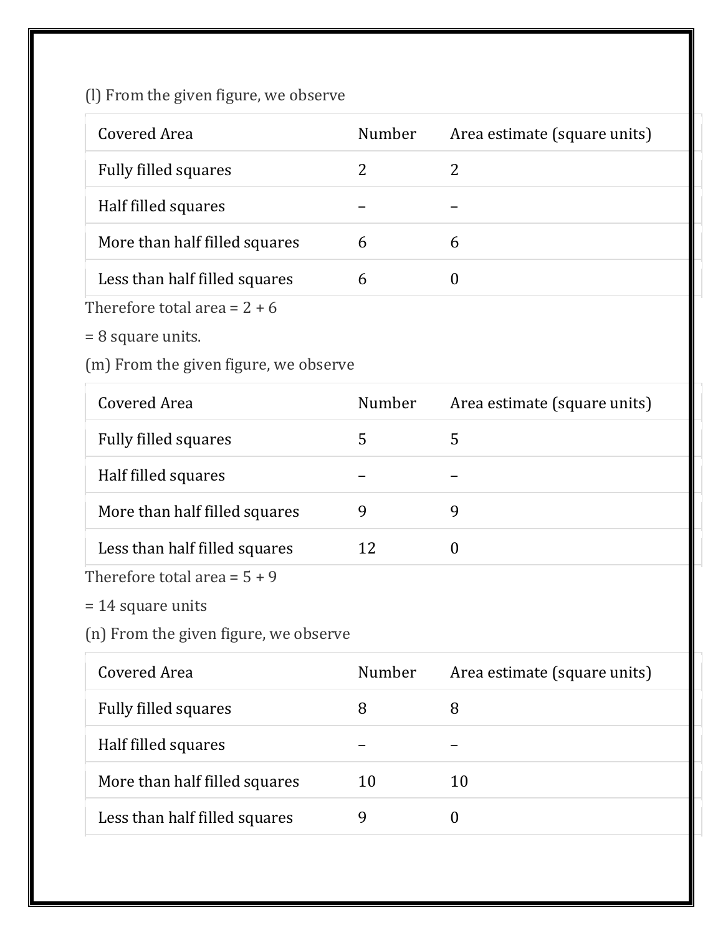(l) From the given figure, we observe

| Covered Area                  | Number | Area estimate (square units) |
|-------------------------------|--------|------------------------------|
| <b>Fully filled squares</b>   |        | 2                            |
| Half filled squares           |        |                              |
| More than half filled squares | 6      | 6                            |
| Less than half filled squares | b      |                              |
|                               |        |                              |

Therefore total area =  $2 + 6$ 

= 8 square units.

(m) From the given figure, we observe

| Covered Area                   | Number | Area estimate (square units) |
|--------------------------------|--------|------------------------------|
| <b>Fully filled squares</b>    |        |                              |
| Half filled squares            |        |                              |
| More than half filled squares  | 9      |                              |
| Less than half filled squares  | 12     | $\theta$                     |
| Therefore total area = $5 + 9$ |        |                              |

= 14 square units

(n) From the given figure, we observe

| Covered Area                  | <b>Number</b> | Area estimate (square units) |
|-------------------------------|---------------|------------------------------|
| <b>Fully filled squares</b>   | 8             |                              |
| Half filled squares           |               |                              |
| More than half filled squares | 10            | 10                           |
| Less than half filled squares |               |                              |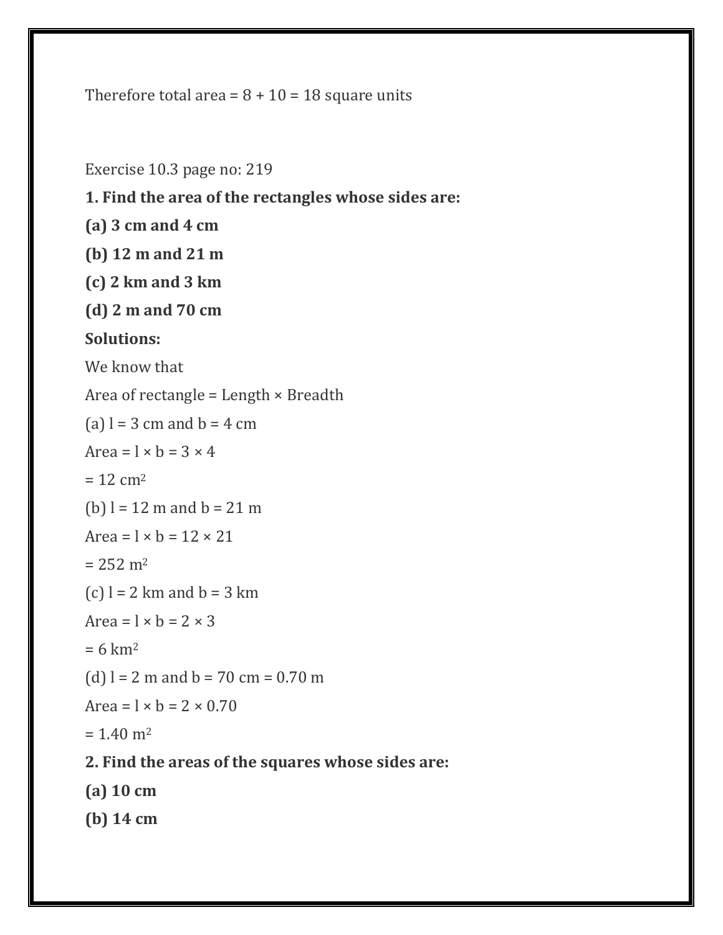Therefore total area =  $8 + 10 = 18$  square units

Exercise 10.3 page no: 219 **1. Find the area of the rectangles whose sides are: (a) 3 cm and 4 cm (b) 12 m and 21 m (c) 2 km and 3 km (d) 2 m and 70 cm Solutions:** We know that Area of rectangle = Length  $\times$  Breadth (a)  $l = 3$  cm and  $b = 4$  cm Area =  $1 \times b = 3 \times 4$  $= 12 cm<sup>2</sup>$ (b)  $l = 12$  m and  $b = 21$  m Area =  $1 \times b = 12 \times 21$  $= 252$  m<sup>2</sup> (c)  $l = 2$  km and  $b = 3$  km Area =  $1 \times b = 2 \times 3$  $= 6$  km<sup>2</sup> (d)  $l = 2$  m and  $b = 70$  cm = 0.70 m Area =  $\vert \times \vert b \vert = 2 \times 0.70$  $= 1.40$  m<sup>2</sup> **2. Find the areas of the squares whose sides are: (a) 10 cm (b) 14 cm**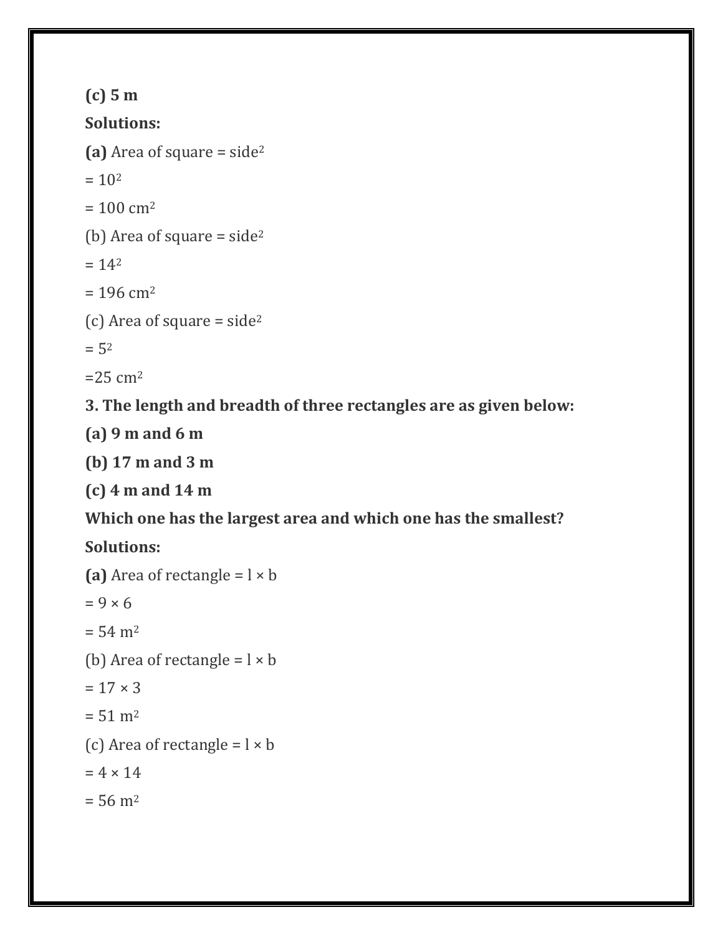```
(c) 5 m
Solutions:
(a) Area of square = side2
= 10<sup>2</sup>= 100 cm<sup>2</sup>
(b) Area of square = side2
= 14<sup>2</sup>= 196 cm<sup>2</sup>
(c) Area of square = side2
= 5<sup>2</sup>=25 cm<sup>2</sup>
```
**3. The length and breadth of three rectangles are as given below:**

**(a) 9 m and 6 m**

**(b) 17 m and 3 m**

**(c) 4 m and 14 m**

**Which one has the largest area and which one has the smallest?**

**Solutions:**

```
(a) Area of rectangle = x \,b
= 9 \times 6= 54 \text{ m}^2(b) Area of rectangle = l \times b= 17 \times 3= 51 \text{ m}^2(c) Area of rectangle = l \times b= 4 \times 14= 56 \text{ m}^2
```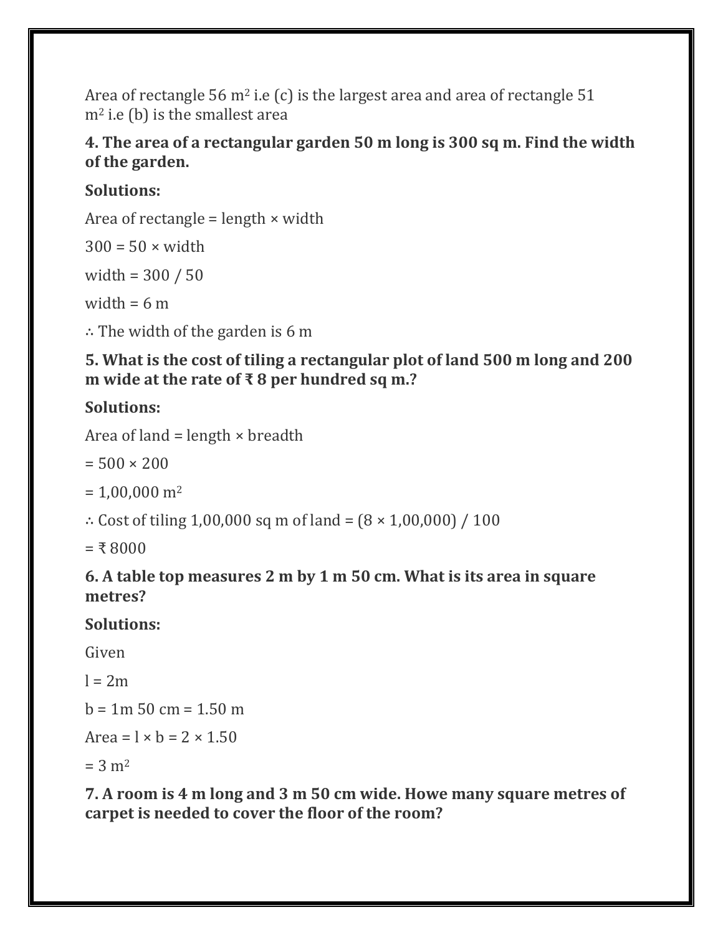Area of rectangle 56  $m^2$  i.e (c) is the largest area and area of rectangle 51  $m<sup>2</sup>$  i.e (b) is the smallest area

#### **4. The area of a rectangular garden 50 m long is 300 sq m. Find the width of the garden.**

### **Solutions:**

Area of rectangle = length  $\times$  width

 $300 = 50 \times \text{width}$ 

width = 300 / 50

width  $= 6$  m

∴ The width of the garden is 6 m

**5. What is the cost of tiling a rectangular plot of land 500 m long and 200 m wide at the rate of ₹ 8 per hundred sq m.?**

# **Solutions:**

Area of land = length  $\times$  breadth

 $= 500 \times 200$ 

 $= 1,00,000 \text{ m}^2$ 

∴ Cost of tiling 1,00,000 sq m of land =  $(8 \times 1,00,000) / 100$ 

 $= 58000$ 

#### **6. A table top measures 2 m by 1 m 50 cm. What is its area in square metres?**

## **Solutions:**

Given

 $l = 2m$ 

 $b = 1m 50 cm = 1.50 m$ 

$$
Area = l \times b = 2 \times 1.50
$$

 $= 3 m<sup>2</sup>$ 

**7. A room is 4 m long and 3 m 50 cm wide. Howe many square metres of carpet is needed to cover the floor of the room?**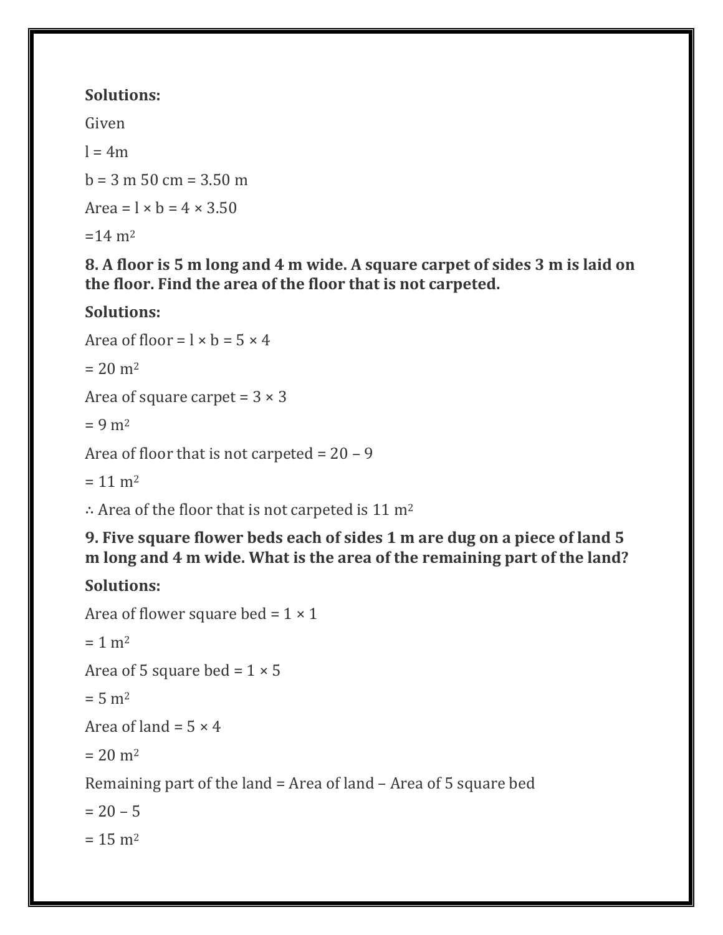## **Solutions:**

Given

 $l = 4m$ 

 $b = 3$  m 50 cm = 3.50 m

Area =  $1 \times b = 4 \times 3.50$ 

 $=14 \text{ m}^2$ 

**8. A floor is 5 m long and 4 m wide. A square carpet of sides 3 m is laid on the floor. Find the area of the floor that is not carpeted.**

# **Solutions:**

Area of floor =  $1 \times b = 5 \times 4$  $= 20$  m<sup>2</sup> Area of square carpet =  $3 \times 3$  $= 9 \text{ m}^2$ Area of floor that is not carpeted  $= 20 - 9$ 

 $= 11 \text{ m}^2$ 

∴ Area of the floor that is not carpeted is 11 m<sup>2</sup>

**9. Five square flower beds each of sides 1 m are dug on a piece of land 5 m long and 4 m wide. What is the area of the remaining part of the land?**

# **Solutions:**

```
Area of flower square bed = 1 \times 1= 1 m<sup>2</sup>
Area of 5 square bed = 1 \times 5= 5 m<sup>2</sup>Area of land = 5 \times 4= 20 m<sup>2</sup>
Remaining part of the land = Area of land – Area of 5 square bed
= 20 - 5= 15 m<sup>2</sup>
```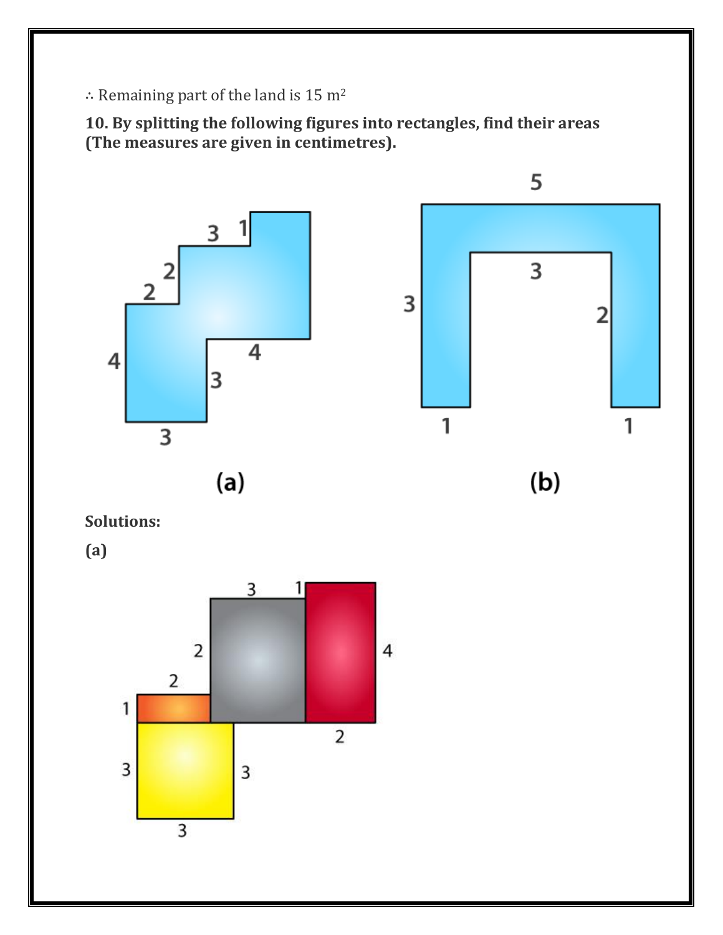∴ Remaining part of the land is 15 m<sup>2</sup>

**10. By splitting the following figures into rectangles, find their areas (The measures are given in centimetres).**



**Solutions:**

**(a)**

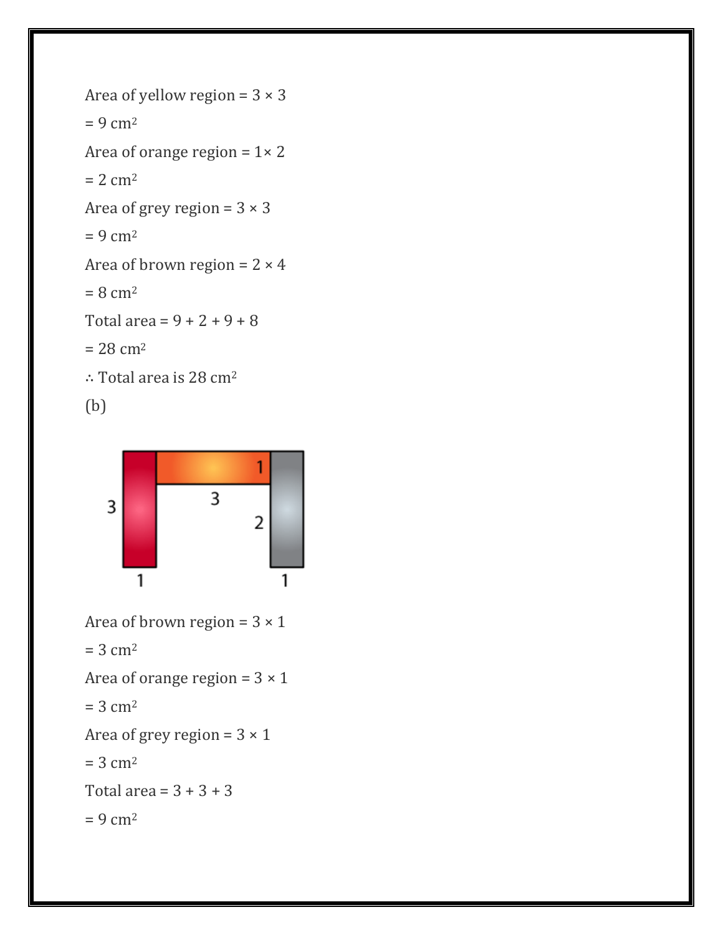```
Area of yellow region = 3 \times 3= 9 \text{ cm}^2Area of orange region = 1 \times 2= 2 cm<sup>2</sup>
Area of grey region = 3 \times 3= 9 \text{ cm}^2Area of brown region = 2 \times 4= 8 cm<sup>2</sup>
Total area = 9 + 2 + 9 + 8= 28 \text{ cm}^2∴ Total area is 28 cm2
(b)
```


```
Area of brown region = 3 \times 1= 3 cm<sup>2</sup>
Area of orange region = 3 \times 1
```

```
= 3 cm<sup>2</sup>
```
Area of grey region =  $3 \times 1$ 

 $= 3$  cm<sup>2</sup>

Total area =  $3 + 3 + 3$ 

 $= 9$  cm<sup>2</sup>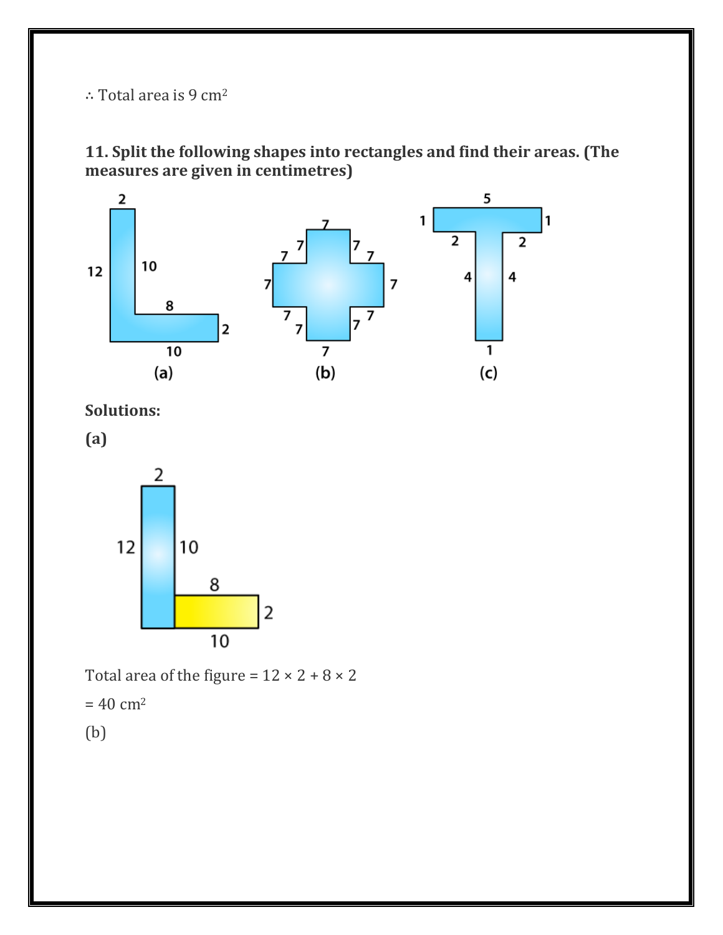∴ Total area is 9 cm<sup>2</sup>

**11. Split the following shapes into rectangles and find their areas. (The measures are given in centimetres)**



**Solutions:**

**(a)**



Total area of the figure =  $12 \times 2 + 8 \times 2$ 

 $= 40 \text{ cm}^2$ 

(b)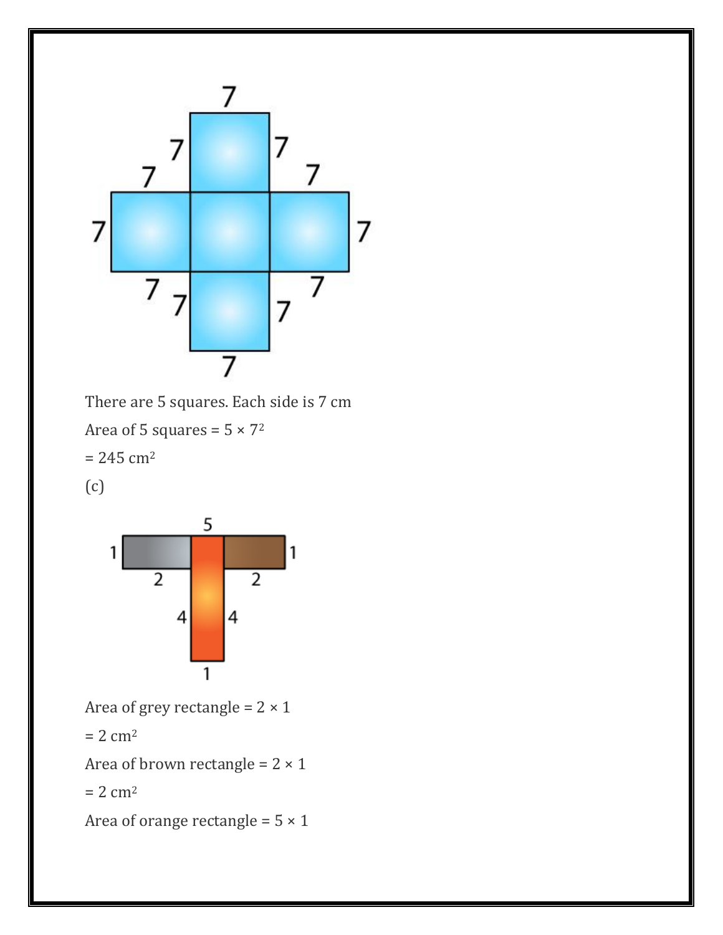

There are 5 squares. Each side is 7 cm Area of 5 squares =  $5 \times 7^2$  $= 245$  cm<sup>2</sup> (c)



Area of grey rectangle =  $2 \times 1$ 

 $= 2 cm<sup>2</sup>$ 

Area of brown rectangle =  $2 \times 1$ 

 $= 2$  cm<sup>2</sup>

Area of orange rectangle =  $5 \times 1$